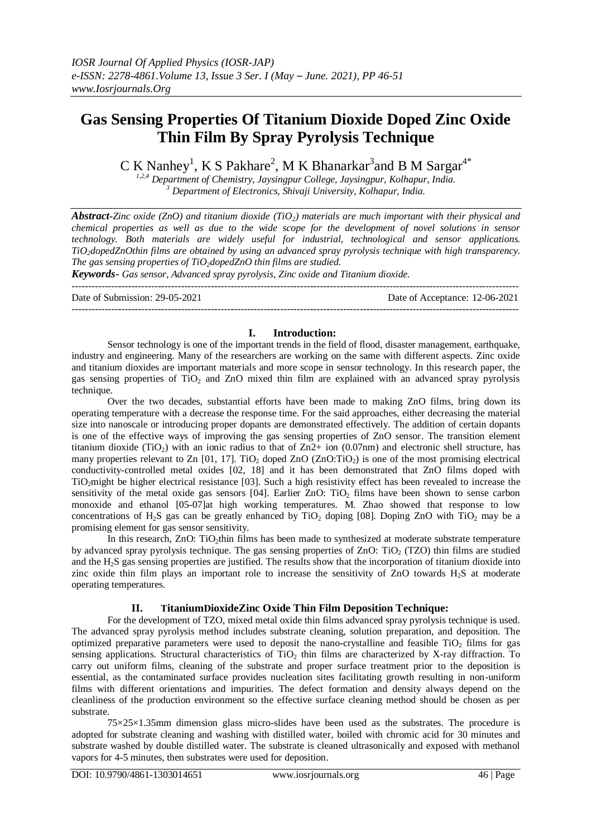# **Gas Sensing Properties Of Titanium Dioxide Doped Zinc Oxide Thin Film By Spray Pyrolysis Technique**

C K Nanhey<sup>1</sup>, K S Pakhare<sup>2</sup>, M K Bhanarkar<sup>3</sup>and B M Sargar<sup>4\*</sup>

*1,2,4 Department of Chemistry, Jaysingpur College, Jaysingpur, Kolhapur, India. <sup>3</sup> Department of Electronics, Shivaji University, Kolhapur, India.*

*Abstract-Zinc oxide (ZnO) and titanium dioxide (TiO2) materials are much important with their physical and chemical properties as well as due to the wide scope for the development of novel solutions in sensor technology. Both materials are widely useful for industrial, technological and sensor applications. TiO2dopedZnOthin films are obtained by using an advanced spray pyrolysis technique with high transparency. The gas sensing properties of TiO2dopedZnO thin films are studied.*

*Keywords- Gas sensor, Advanced spray pyrolysis, Zinc oxide and Titanium dioxide.* ---------------------------------------------------------------------------------------------------------------------------------------

Date of Submission: 29-05-2021 Date of Acceptance: 12-06-2021

### **I. Introduction:**

---------------------------------------------------------------------------------------------------------------------------------------

Sensor technology is one of the important trends in the field of flood, disaster management, earthquake, industry and engineering. Many of the researchers are working on the same with different aspects. Zinc oxide and titanium dioxides are important materials and more scope in sensor technology. In this research paper, the gas sensing properties of TiO<sub>2</sub> and ZnO mixed thin film are explained with an advanced spray pyrolysis technique.

Over the two decades, substantial efforts have been made to making ZnO films, bring down its operating temperature with a decrease the response time. For the said approaches, either decreasing the material size into nanoscale or introducing proper dopants are demonstrated effectively. The addition of certain dopants is one of the effective ways of improving the gas sensing properties of ZnO sensor. The transition element titanium dioxide (TiO<sub>2</sub>) with an ionic radius to that of  $Zn2+$  ion (0.07nm) and electronic shell structure, has many properties relevant to Zn  $[01, 17]$ . TiO<sub>2</sub> doped ZnO (ZnO:TiO<sub>2</sub>) is one of the most promising electrical conductivity-controlled metal oxides [02, 18] and it has been demonstrated that ZnO films doped with TiO2might be higher electrical resistance [03]. Such a high resistivity effect has been revealed to increase the sensitivity of the metal oxide gas sensors [04]. Earlier ZnO: TiO<sub>2</sub> films have been shown to sense carbon monoxide and ethanol [05-07]at high working temperatures. M. Zhao showed that response to low concentrations of H<sub>2</sub>S gas can be greatly enhanced by TiO<sub>2</sub> doping [08]. Doping ZnO with TiO<sub>2</sub> may be a promising element for gas sensor sensitivity.

In this research, ZnO: TiO<sub>2</sub>thin films has been made to synthesized at moderate substrate temperature by advanced spray pyrolysis technique. The gas sensing properties of ZnO: TiO<sub>2</sub> (TZO) thin films are studied and the H2S gas sensing properties are justified. The results show that the incorporation of titanium dioxide into zinc oxide thin film plays an important role to increase the sensitivity of  $ZnO$  towards  $H<sub>2</sub>S$  at moderate operating temperatures.

## **II. TitaniumDioxideZinc Oxide Thin Film Deposition Technique:**

For the development of TZO, mixed metal oxide thin films advanced spray pyrolysis technique is used. The advanced spray pyrolysis method includes substrate cleaning, solution preparation, and deposition. The optimized preparative parameters were used to deposit the nano-crystalline and feasible  $TiO<sub>2</sub>$  films for gas sensing applications. Structural characteristics of  $TiO<sub>2</sub>$  thin films are characterized by X-ray diffraction. To carry out uniform films, cleaning of the substrate and proper surface treatment prior to the deposition is essential, as the contaminated surface provides nucleation sites facilitating growth resulting in non-uniform films with different orientations and impurities. The defect formation and density always depend on the cleanliness of the production environment so the effective surface cleaning method should be chosen as per substrate.

75×25×1.35mm dimension glass micro-slides have been used as the substrates. The procedure is adopted for substrate cleaning and washing with distilled water, boiled with chromic acid for 30 minutes and substrate washed by double distilled water. The substrate is cleaned ultrasonically and exposed with methanol vapors for 4-5 minutes, then substrates were used for deposition.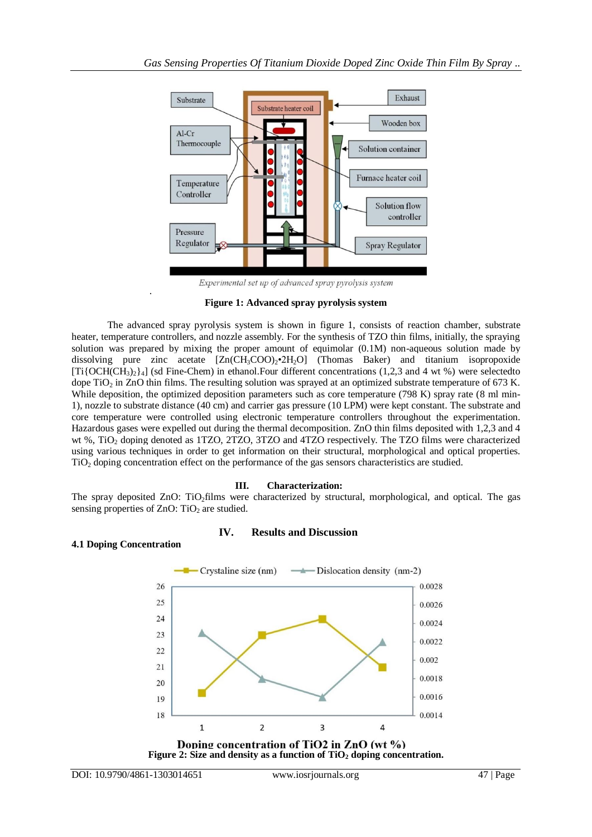

Experimental set up of advanced spray pyrolysis system

### **Figure 1: Advanced spray pyrolysis system**

The advanced spray pyrolysis system is shown in figure 1, consists of reaction chamber, substrate heater, temperature controllers, and nozzle assembly. For the synthesis of TZO thin films, initially, the spraying solution was prepared by mixing the proper amount of equimolar (0.1M) non-aqueous solution made by dissolving pure zinc acetate  $[Zn(CH_3COO)_2 \cdot 2H_2O]$  (Thomas Baker) and titanium isopropoxide  $[Ti\{OCH(CH_3)\}_{4}]$  (sd Fine-Chem) in ethanol. Four different concentrations (1,2,3 and 4 wt %) were selectedto dope TiO<sub>2</sub> in ZnO thin films. The resulting solution was sprayed at an optimized substrate temperature of 673 K. While deposition, the optimized deposition parameters such as core temperature (798 K) spray rate (8 ml min-1), nozzle to substrate distance (40 cm) and carrier gas pressure (10 LPM) were kept constant. The substrate and core temperature were controlled using electronic temperature controllers throughout the experimentation. Hazardous gases were expelled out during the thermal decomposition. ZnO thin films deposited with 1,2,3 and 4 wt %, TiO<sub>2</sub> doping denoted as 1TZO, 2TZO, 3TZO and 4TZO respectively. The TZO films were characterized using various techniques in order to get information on their structural, morphological and optical properties. TiO<sup>2</sup> doping concentration effect on the performance of the gas sensors characteristics are studied.

## **III. Characterization:**

The spray deposited ZnO: TiO<sub>2</sub>films were characterized by structural, morphological, and optical. The gas sensing properties of  $ZnO$ : TiO<sub>2</sub> are studied.

## **IV. Results and Discussion**

## **4.1 Doping Concentration**

.



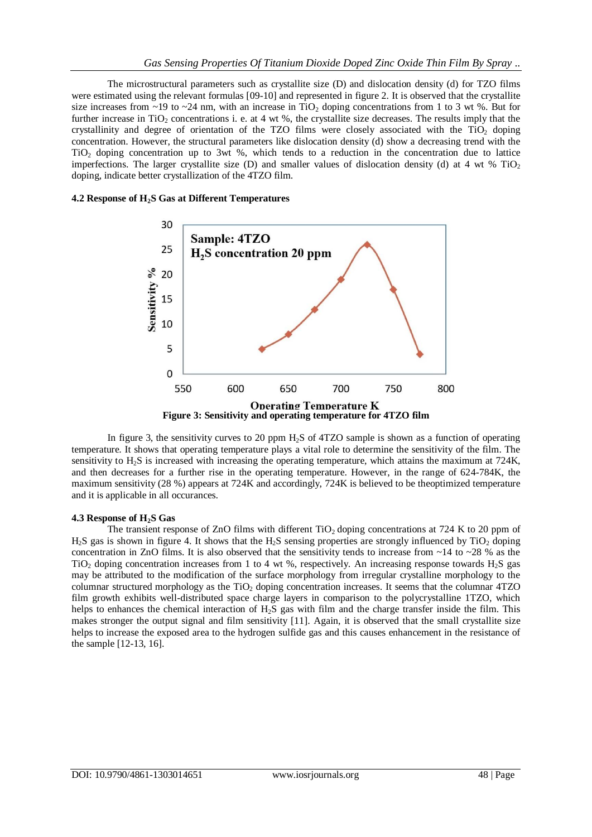The microstructural parameters such as crystallite size (D) and dislocation density (d) for TZO films were estimated using the relevant formulas [09-10] and represented in figure 2. It is observed that the crystallite size increases from ~19 to ~24 nm, with an increase in TiO<sub>2</sub> doping concentrations from 1 to 3 wt %. But for further increase in TiO<sub>2</sub> concentrations i. e. at 4 wt %, the crystallite size decreases. The results imply that the crystallinity and degree of orientation of the TZO films were closely associated with the TiO<sub>2</sub> doping concentration. However, the structural parameters like dislocation density (d) show a decreasing trend with the TiO<sup>2</sup> doping concentration up to 3wt %, which tends to a reduction in the concentration due to lattice imperfections. The larger crystallite size (D) and smaller values of dislocation density (d) at 4 wt % TiO<sub>2</sub> doping, indicate better crystallization of the 4TZO film.

#### **4.2 Response of H2S Gas at Different Temperatures**



In figure 3, the sensitivity curves to 20 ppm  $H_2S$  of 4TZO sample is shown as a function of operating temperature. It shows that operating temperature plays a vital role to determine the sensitivity of the film. The sensitivity to H2S is increased with increasing the operating temperature, which attains the maximum at 724K, and then decreases for a further rise in the operating temperature. However, in the range of 624-784K, the maximum sensitivity (28 %) appears at 724K and accordingly, 724K is believed to be theoptimized temperature and it is applicable in all occurances.

#### **4.3 Response of H2S Gas**

The transient response of ZnO films with different  $TiO<sub>2</sub>$  doping concentrations at 724 K to 20 ppm of H<sub>2</sub>S gas is shown in figure 4. It shows that the H<sub>2</sub>S sensing properties are strongly influenced by TiO<sub>2</sub> doping concentration in ZnO films. It is also observed that the sensitivity tends to increase from  $\sim$ 14 to  $\sim$ 28 % as the TiO<sub>2</sub> doping concentration increases from 1 to 4 wt %, respectively. An increasing response towards H<sub>2</sub>S gas may be attributed to the modification of the surface morphology from irregular crystalline morphology to the columnar structured morphology as the TiO<sub>2</sub> doping concentration increases. It seems that the columnar 4TZO film growth exhibits well-distributed space charge layers in comparison to the polycrystalline 1TZO, which helps to enhances the chemical interaction of  $H_2S$  gas with film and the charge transfer inside the film. This makes stronger the output signal and film sensitivity [11]. Again, it is observed that the small crystallite size helps to increase the exposed area to the hydrogen sulfide gas and this causes enhancement in the resistance of the sample [12-13, 16].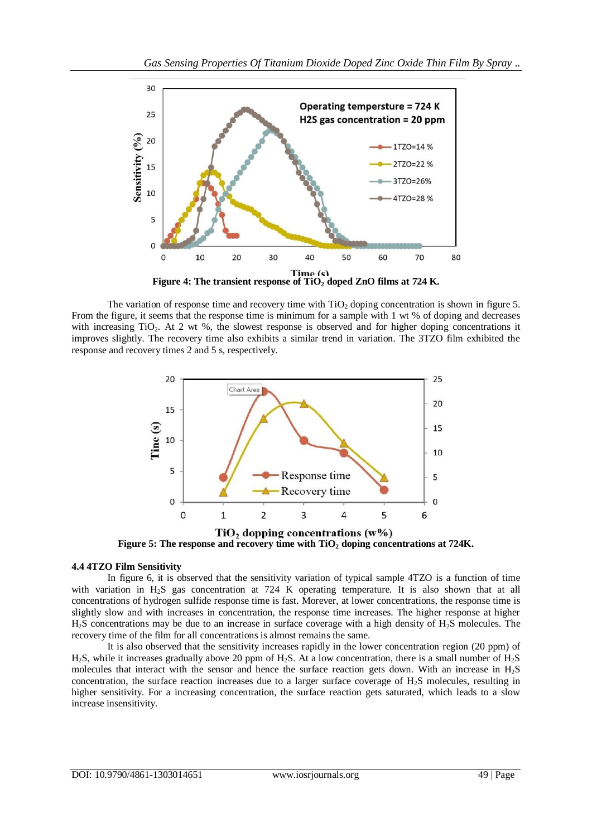

The variation of response time and recovery time with  $TiO<sub>2</sub>$  doping concentration is shown in figure 5. From the figure, it seems that the response time is minimum for a sample with 1 wt % of doping and decreases with increasing TiO<sub>2</sub>. At 2 wt %, the slowest response is observed and for higher doping concentrations it improves slightly. The recovery time also exhibits a similar trend in variation. The 3TZO film exhibited the response and recovery times 2 and 5 s, respectively.



 $TiO<sub>2</sub>$  dopping concentrations  $(w\%)$ **Figure 5: The response and recovery time with TiO<sup>2</sup> doping concentrations at 724K.**

## **4.4 4TZO Film Sensitivity**

In figure 6, it is observed that the sensitivity variation of typical sample 4TZO is a function of time with variation in H<sub>2</sub>S gas concentration at 724 K operating temperature. It is also shown that at all concentrations of hydrogen sulfide response time is fast. Morever, at lower concentrations, the response time is slightly slow and with increases in concentration, the response time increases. The higher response at higher  $H<sub>2</sub>S$  concentrations may be due to an increase in surface coverage with a high density of  $H<sub>2</sub>S$  molecules. The recovery time of the film for all concentrations is almost remains the same.

It is also observed that the sensitivity increases rapidly in the lower concentration region (20 ppm) of H2S, while it increases gradually above 20 ppm of H2S. At a low concentration, there is a small number of H2S molecules that interact with the sensor and hence the surface reaction gets down. With an increase in H2S concentration, the surface reaction increases due to a larger surface coverage of H2S molecules, resulting in higher sensitivity. For a increasing concentration, the surface reaction gets saturated, which leads to a slow increase insensitivity.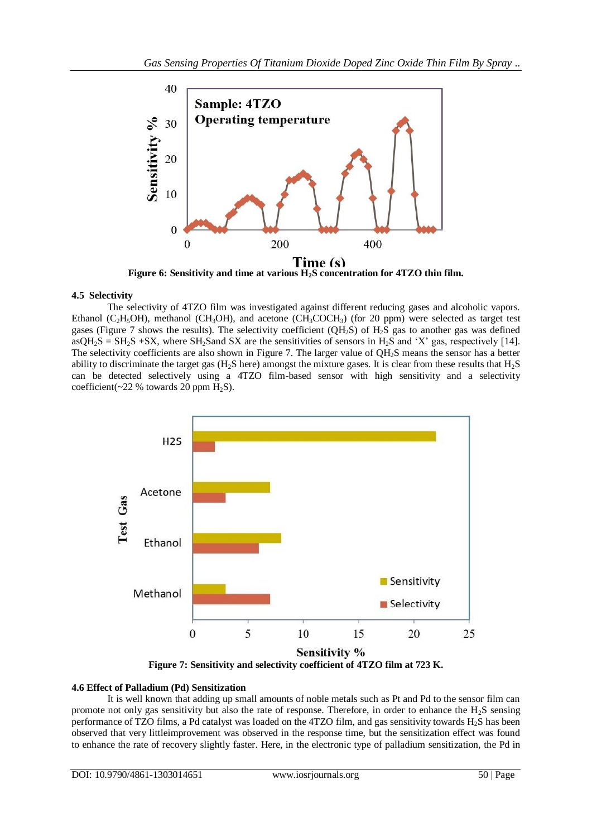

## **4.5 Selectivity**

The selectivity of 4TZO film was investigated against different reducing gases and alcoholic vapors. Ethanol (C<sub>2</sub>H<sub>5</sub>OH), methanol (CH<sub>3</sub>OH), and acetone (CH<sub>3</sub>COCH<sub>3</sub>) (for 20 ppm) were selected as target test gases (Figure 7 shows the results). The selectivity coefficient (QH<sub>2</sub>S) of  $H_2S$  gas to another gas was defined  $aSQH_2S = SH_2S + SX$ , where  $SH_2S$  and  $SX$  are the sensitivities of sensors in  $H_2S$  and 'X' gas, respectively [14]. The selectivity coefficients are also shown in Figure 7. The larger value of QH<sub>2</sub>S means the sensor has a better ability to discriminate the target gas ( $H_2S$  here) amongst the mixture gases. It is clear from these results that  $H_2S$ can be detected selectively using a 4TZO film-based sensor with high sensitivity and a selectivity coefficient( $\sim$ 22 % towards 20 ppm H<sub>2</sub>S).



## **4.6 Effect of Palladium (Pd) Sensitization**

It is well known that adding up small amounts of noble metals such as Pt and Pd to the sensor film can promote not only gas sensitivity but also the rate of response. Therefore, in order to enhance the  $H_2S$  sensing performance of TZO films, a Pd catalyst was loaded on the 4TZO film, and gas sensitivity towards H<sub>2</sub>S has been observed that very littleimprovement was observed in the response time, but the sensitization effect was found to enhance the rate of recovery slightly faster. Here, in the electronic type of palladium sensitization, the Pd in